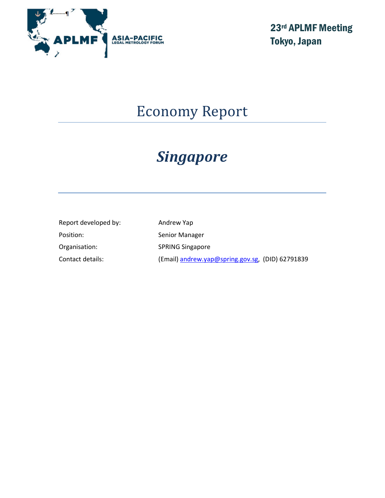

23rd APLMF Meeting Tokyo, Japan

# Economy Report

# Singapore

| Report developed by: | Andrew Yap                                       |
|----------------------|--------------------------------------------------|
| Position:            | Senior Manager                                   |
| Organisation:        | <b>SPRING Singapore</b>                          |
| Contact details:     | (Email) andrew.yap@spring.gov.sg, (DID) 62791839 |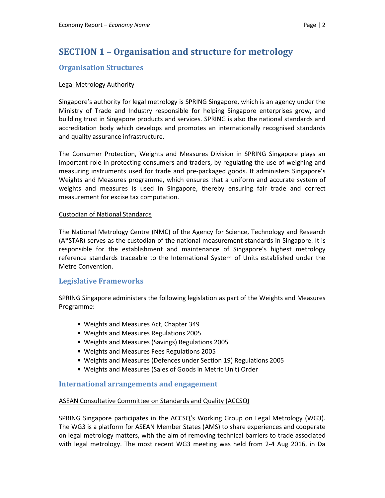# SECTION 1 – Organisation and structure for metrology

## Organisation Structures

### Legal Metrology Authority

Singapore's authority for legal metrology is SPRING Singapore, which is an agency under the Ministry of Trade and Industry responsible for helping Singapore enterprises grow, and building trust in Singapore products and services. SPRING is also the national standards and accreditation body which develops and promotes an internationally recognised standards and quality assurance infrastructure.

The Consumer Protection, Weights and Measures Division in SPRING Singapore plays an important role in protecting consumers and traders, by regulating the use of weighing and measuring instruments used for trade and pre-packaged goods. It administers Singapore's Weights and Measures programme, which ensures that a uniform and accurate system of weights and measures is used in Singapore, thereby ensuring fair trade and correct measurement for excise tax computation.

### Custodian of National Standards

The National Metrology Centre (NMC) of the Agency for Science, Technology and Research (A\*STAR) serves as the custodian of the national measurement standards in Singapore. It is responsible for the establishment and maintenance of Singapore's highest metrology reference standards traceable to the International System of Units established under the Metre Convention.

### Legislative Frameworks

SPRING Singapore administers the following legislation as part of the Weights and Measures Programme:

- Weights and Measures Act, Chapter 349
- Weights and Measures Regulations 2005
- Weights and Measures (Savings) Regulations 2005
- Weights and Measures Fees Regulations 2005
- Weights and Measures (Defences under Section 19) Regulations 2005
- Weights and Measures (Sales of Goods in Metric Unit) Order

### International arrangements and engagement

### ASEAN Consultative Committee on Standards and Quality (ACCSQ)

SPRING Singapore participates in the ACCSQ's Working Group on Legal Metrology (WG3). The WG3 is a platform for ASEAN Member States (AMS) to share experiences and cooperate on legal metrology matters, with the aim of removing technical barriers to trade associated with legal metrology. The most recent WG3 meeting was held from 2-4 Aug 2016, in Da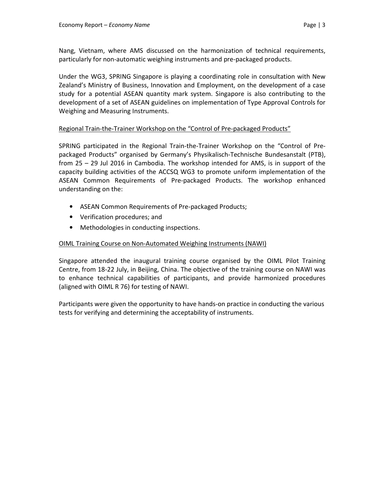Nang, Vietnam, where AMS discussed on the harmonization of technical requirements, particularly for non-automatic weighing instruments and pre-packaged products.

Under the WG3, SPRING Singapore is playing a coordinating role in consultation with New Zealand's Ministry of Business, Innovation and Employment, on the development of a case study for a potential ASEAN quantity mark system. Singapore is also contributing to the development of a set of ASEAN guidelines on implementation of Type Approval Controls for Weighing and Measuring Instruments.

### Regional Train-the-Trainer Workshop on the "Control of Pre-packaged Products"

SPRING participated in the Regional Train-the-Trainer Workshop on the "Control of Prepackaged Products" organised by Germany's Physikalisch-Technische Bundesanstalt (PTB), from 25 – 29 Jul 2016 in Cambodia. The workshop intended for AMS, is in support of the capacity building activities of the ACCSQ WG3 to promote uniform implementation of the ASEAN Common Requirements of Pre-packaged Products. The workshop enhanced understanding on the:

- ASEAN Common Requirements of Pre-packaged Products;
- Verification procedures; and
- Methodologies in conducting inspections.

### OIML Training Course on Non-Automated Weighing Instruments (NAWI)

Singapore attended the inaugural training course organised by the OIML Pilot Training Centre, from 18-22 July, in Beijing, China. The objective of the training course on NAWI was to enhance technical capabilities of participants, and provide harmonized procedures (aligned with OIML R 76) for testing of NAWI.

Participants were given the opportunity to have hands-on practice in conducting the various tests for verifying and determining the acceptability of instruments.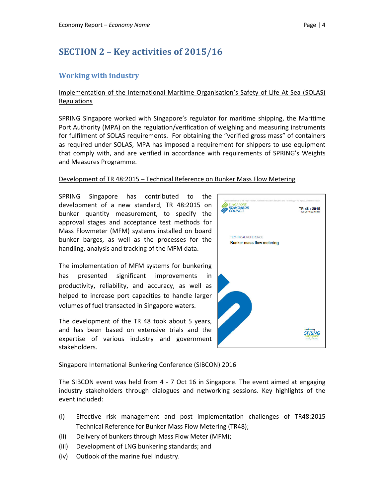# SECTION 2 – Key activities of 2015/16

# Working with industry

### Implementation of the International Maritime Organisation's Safety of Life At Sea (SOLAS) Regulations

SPRING Singapore worked with Singapore's regulator for maritime shipping, the Maritime Port Authority (MPA) on the regulation/verification of weighing and measuring instruments for fulfilment of SOLAS requirements. For obtaining the "verified gross mass" of containers as required under SOLAS, MPA has imposed a requirement for shippers to use equipment that comply with, and are verified in accordance with requirements of SPRING's Weights and Measures Programme.

#### Development of TR 48:2015 – Technical Reference on Bunker Mass Flow Metering

SPRING Singapore has contributed to the development of a new standard, TR 48:2015 on bunker quantity measurement, to specify the approval stages and acceptance test methods for Mass Flowmeter (MFM) systems installed on board bunker barges, as well as the processes for the handling, analysis and tracking of the MFM data.

The implementation of MFM systems for bunkering has presented significant improvements in productivity, reliability, and accuracy, as well as helped to increase port capacities to handle larger volumes of fuel transacted in Singapore waters.

The development of the TR 48 took about 5 years, and has been based on extensive trials and the expertise of various industry and government stakeholders.



### Singapore International Bunkering Conference (SIBCON) 2016

The SIBCON event was held from 4 - 7 Oct 16 in Singapore. The event aimed at engaging industry stakeholders through dialogues and networking sessions. Key highlights of the event included:

- (i) Effective risk management and post implementation challenges of TR48:2015 Technical Reference for Bunker Mass Flow Metering (TR48);
- (ii) Delivery of bunkers through Mass Flow Meter (MFM);
- (iii) Development of LNG bunkering standards; and
- (iv) Outlook of the marine fuel industry.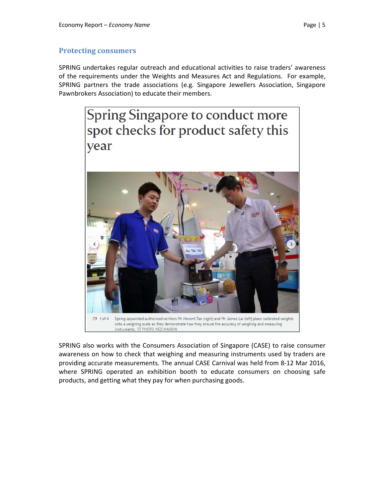### Protecting consumers

SPRING undertakes regular outreach and educational activities to raise traders' awareness of the requirements under the Weights and Measures Act and Regulations. For example, SPRING partners the trade associations (e.g. Singapore Jewellers Association, Singapore Pawnbrokers Association) to educate their members.



SPRING also works with the Consumers Association of Singapore (CASE) to raise consumer awareness on how to check that weighing and measuring instruments used by traders are providing accurate measurements. The annual CASE Carnival was held from 8-12 Mar 2016, where SPRING operated an exhibition booth to educate consumers on choosing safe products, and getting what they pay for when purchasing goods.